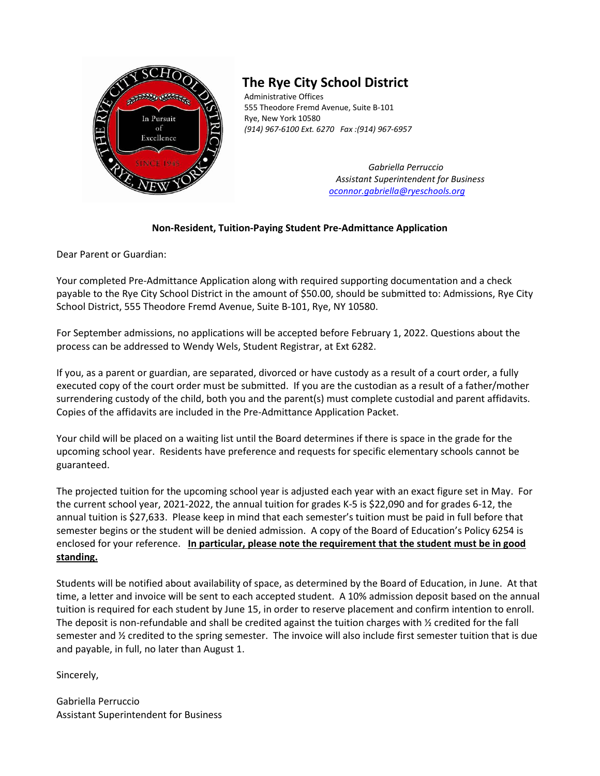

## **The Rye City School District**

Administrative Offices 555 Theodore Fremd Avenue, Suite B-101 Rye, New York 10580 *(914) 967-6100 Ext. 6270 Fax :(914) 967-6957*

> *Gabriella Perruccio Assistant Superintendent for Business [oconnor.gabriella@ryeschools.org](mailto:oconnor.gabriella@ryeschools.org)*

## **Non-Resident, Tuition-Paying Student Pre-Admittance Application**

Dear Parent or Guardian:

Your completed Pre-Admittance Application along with required supporting documentation and a check payable to the Rye City School District in the amount of \$50.00, should be submitted to: Admissions, Rye City School District, 555 Theodore Fremd Avenue, Suite B-101, Rye, NY 10580.

For September admissions, no applications will be accepted before February 1, 2022. Questions about the process can be addressed to Wendy Wels, Student Registrar, at Ext 6282.

If you, as a parent or guardian, are separated, divorced or have custody as a result of a court order, a fully executed copy of the court order must be submitted. If you are the custodian as a result of a father/mother surrendering custody of the child, both you and the parent(s) must complete custodial and parent affidavits. Copies of the affidavits are included in the Pre-Admittance Application Packet.

Your child will be placed on a waiting list until the Board determines if there is space in the grade for the upcoming school year. Residents have preference and requests for specific elementary schools cannot be guaranteed.

The projected tuition for the upcoming school year is adjusted each year with an exact figure set in May. For the current school year, 2021-2022, the annual tuition for grades K-5 is \$22,090 and for grades 6-12, the annual tuition is \$27,633. Please keep in mind that each semester's tuition must be paid in full before that semester begins or the student will be denied admission. A copy of the Board of Education's Policy 6254 is enclosed for your reference. **In particular, please note the requirement that the student must be in good standing.**

Students will be notified about availability of space, as determined by the Board of Education, in June. At that time, a letter and invoice will be sent to each accepted student. A 10% admission deposit based on the annual tuition is required for each student by June 15, in order to reserve placement and confirm intention to enroll. The deposit is non-refundable and shall be credited against the tuition charges with  $\frac{1}{2}$  credited for the fall semester and ½ credited to the spring semester. The invoice will also include first semester tuition that is due and payable, in full, no later than August 1.

Sincerely,

Gabriella Perruccio Assistant Superintendent for Business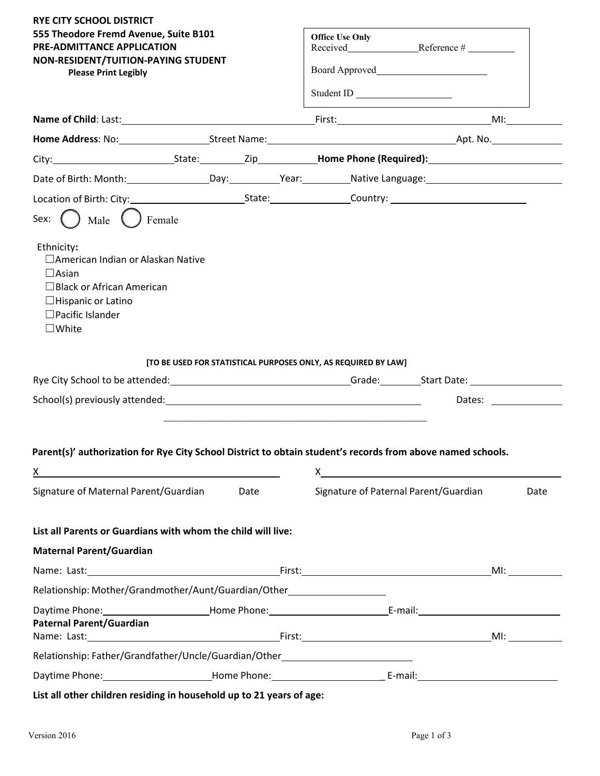| <b>RYE CITY SCHOOL DISTRICT</b><br>555 Theodore Fremd Avenue, Suite B101<br>PRE-ADMITTANCE APPLICATION<br>NON-RESIDENT/TUITION-PAYING STUDENT<br><b>Please Print Legibly</b>             | <b>Office Use Only</b><br>Board Approved<br>Student ID                                                                                                                                                                                                                 |                                                                                                                |
|------------------------------------------------------------------------------------------------------------------------------------------------------------------------------------------|------------------------------------------------------------------------------------------------------------------------------------------------------------------------------------------------------------------------------------------------------------------------|----------------------------------------------------------------------------------------------------------------|
| Name of Child: Last: Mame of Child: Last: Mame of Child: Last: Multiple Multiple Account Account Prince Child:                                                                           |                                                                                                                                                                                                                                                                        |                                                                                                                |
|                                                                                                                                                                                          |                                                                                                                                                                                                                                                                        |                                                                                                                |
|                                                                                                                                                                                          |                                                                                                                                                                                                                                                                        |                                                                                                                |
| Date of Birth: Month: __________________Day: ___________Year: __________Native Language: _____________________                                                                           |                                                                                                                                                                                                                                                                        |                                                                                                                |
|                                                                                                                                                                                          |                                                                                                                                                                                                                                                                        |                                                                                                                |
| Male<br>Ethnicity:<br>□ American Indian or Alaskan Native<br>$\Box$ Asian<br>$\Box$ Black or African American<br>$\Box$ Hispanic or Latino<br>$\Box$ Pacific Islander<br>$\square$ White |                                                                                                                                                                                                                                                                        |                                                                                                                |
| [TO BE USED FOR STATISTICAL PURPOSES ONLY, AS REQUIRED BY LAW]                                                                                                                           |                                                                                                                                                                                                                                                                        |                                                                                                                |
|                                                                                                                                                                                          |                                                                                                                                                                                                                                                                        | Dates: <u>_______</u>                                                                                          |
| Parent(s)' authorization for Rye City School District to obtain student's records from above named schools.<br><u>x</u><br>Signature of Maternal Parent/Guardian<br><b>Date Date</b>     | $X$ and $X$ and $X$ and $X$ and $X$ and $X$ and $X$ and $X$ and $X$ and $X$ and $X$ and $X$ and $X$ and $X$ and $X$ and $X$ and $X$ and $X$ and $X$ and $X$ and $X$ and $X$ and $X$ and $X$ and $X$ and $X$ and $X$ and $X$ a<br>Signature of Paternal Parent/Guardian | Date                                                                                                           |
|                                                                                                                                                                                          |                                                                                                                                                                                                                                                                        |                                                                                                                |
| List all Parents or Guardians with whom the child will live:                                                                                                                             |                                                                                                                                                                                                                                                                        |                                                                                                                |
| <b>Maternal Parent/Guardian</b>                                                                                                                                                          |                                                                                                                                                                                                                                                                        |                                                                                                                |
|                                                                                                                                                                                          |                                                                                                                                                                                                                                                                        | MI: and the state of the state of the state of the state of the state of the state of the state of the state o |
| Relationship: Mother/Grandmother/Aunt/Guardian/Other                                                                                                                                     |                                                                                                                                                                                                                                                                        |                                                                                                                |
| <b>Paternal Parent/Guardian</b>                                                                                                                                                          |                                                                                                                                                                                                                                                                        |                                                                                                                |
| Relationship: Father/Grandfather/Uncle/Guardian/Other___________________________                                                                                                         |                                                                                                                                                                                                                                                                        |                                                                                                                |
| Daytime Phone: ____________________________Home Phone: __________________________ E-mail: ____________________                                                                           |                                                                                                                                                                                                                                                                        |                                                                                                                |
|                                                                                                                                                                                          |                                                                                                                                                                                                                                                                        |                                                                                                                |

**List all other children residing in household up to 21 years of age:**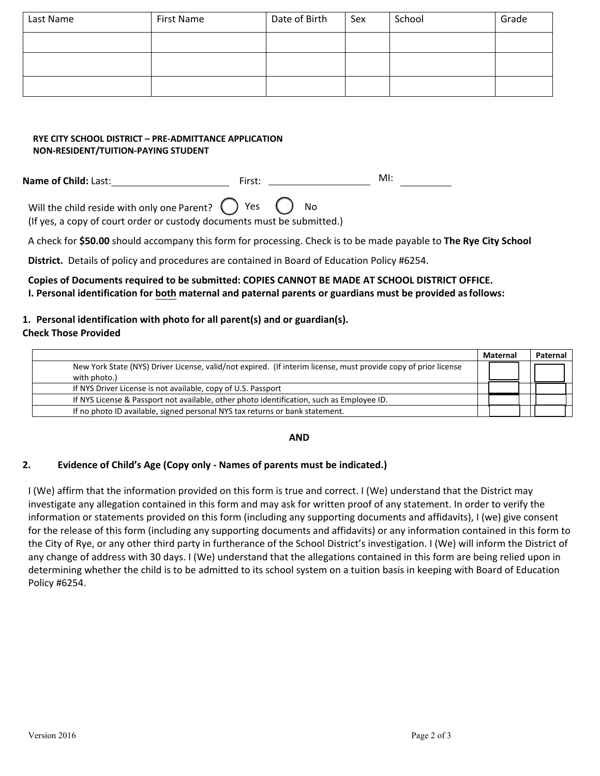| Last Name | First Name | Date of Birth | Sex | School | Grade |
|-----------|------------|---------------|-----|--------|-------|
|           |            |               |     |        |       |
|           |            |               |     |        |       |
|           |            |               |     |        |       |

## **RYE CITY SCHOOL DISTRICT – PRE-ADMITTANCE APPLICATION NON-RESIDENT/TUITION-PAYING STUDENT**

**Name of Child:** Last: First: MI:

Will the child reside with only one Parent?  $\bigcup$  Yes  $\bigcup$  No (If yes, a copy of court order or custody documents must be submitted.)

A check for **\$50.00** should accompany this form for processing. Check is to be made payable to **The Rye City School**

**District.** Details of policy and procedures are contained in Board of Education Policy #6254.

## **Copies of Documents required to be submitted: COPIES CANNOT BE MADE AT SCHOOL DISTRICT OFFICE. I. Personal identification for both maternal and paternal parents or guardians must be provided asfollows:**

## **1. Personal identification with photo for all parent(s) and or guardian(s).**

### **Check Those Provided**

|                                                                                                                                 | Maternal | Paternal |
|---------------------------------------------------------------------------------------------------------------------------------|----------|----------|
| New York State (NYS) Driver License, valid/not expired. (If interim license, must provide copy of prior license<br>with photo.) |          |          |
| If NYS Driver License is not available, copy of U.S. Passport                                                                   |          |          |
| If NYS License & Passport not available, other photo identification, such as Employee ID.                                       |          |          |
| If no photo ID available, signed personal NYS tax returns or bank statement.                                                    |          |          |

### **AND**

## **2. Evidence of Child's Age (Copy only - Names of parents must be indicated.)**

I (We) affirm that the information provided on this form is true and correct. I (We) understand that the District may investigate any allegation contained in this form and may ask for written proof of any statement. In order to verify the information or statements provided on this form (including any supporting documents and affidavits), I (we) give consent for the release of this form (including any supporting documents and affidavits) or any information contained in this form to the City of Rye, or any other third party in furtherance of the School District's investigation. I (We) will inform the District of any change of address with 30 days. I (We) understand that the allegations contained in this form are being relied upon in determining whether the child is to be admitted to its school system on a tuition basis in keeping with Board of Education Policy #6254.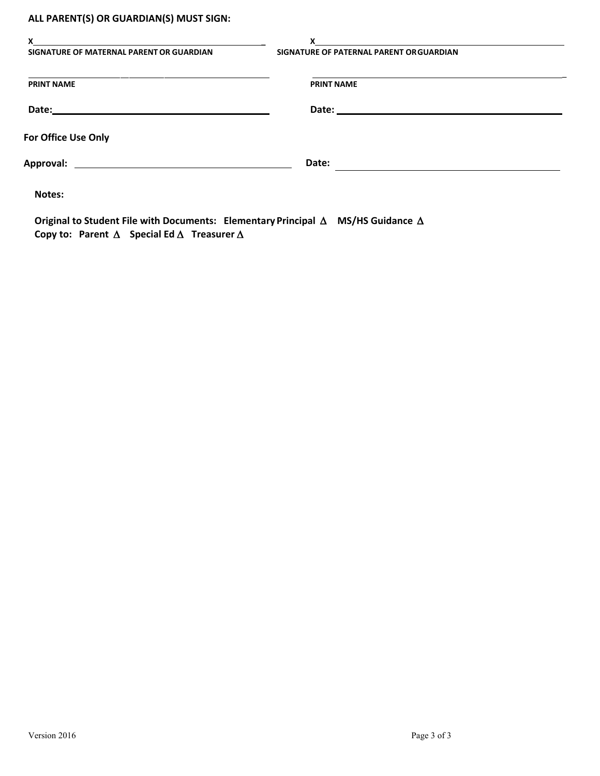## **ALL PARENT(S) OR GUARDIAN(S) MUST SIGN:**

| X<br>SIGNATURE OF MATERNAL PARENT OR GUARDIAN | x<br>SIGNATURE OF PATERNAL PARENT OR GUARDIAN |  |
|-----------------------------------------------|-----------------------------------------------|--|
| <b>PRINT NAME</b>                             | <b>PRINT NAME</b>                             |  |
| Date:                                         |                                               |  |
| For Office Use Only                           |                                               |  |
| Approval:                                     | Date:                                         |  |
| Notes:                                        |                                               |  |

**Original to Student File with Documents: Elementary Principal** ∆ **MS/HS Guidance** ∆ **Copy to: Parent** ∆ **Special Ed** ∆ **Treasurer** ∆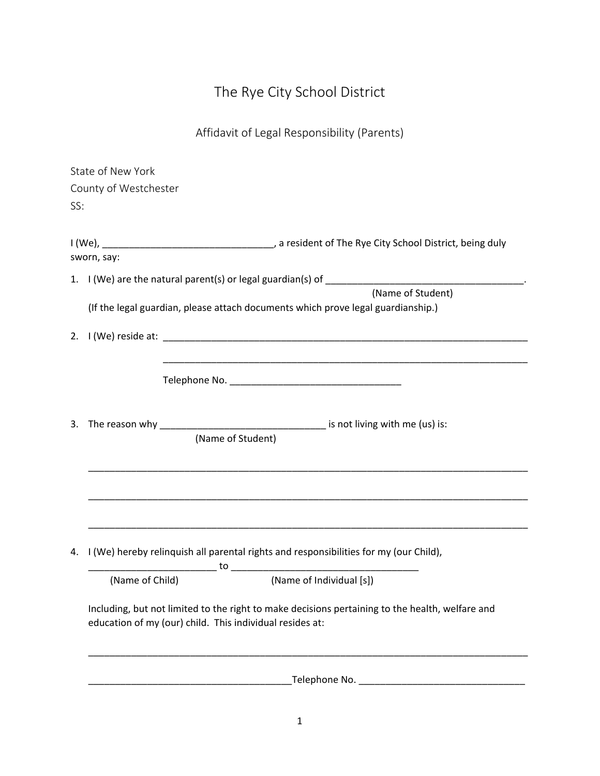# The Rye City School District

## Affidavit of Legal Responsibility (Parents)

|                   | State of New York     |                                                                                                 |  |  |
|-------------------|-----------------------|-------------------------------------------------------------------------------------------------|--|--|
|                   | County of Westchester |                                                                                                 |  |  |
| SS:               |                       |                                                                                                 |  |  |
|                   |                       |                                                                                                 |  |  |
|                   |                       |                                                                                                 |  |  |
|                   | sworn, say:           |                                                                                                 |  |  |
|                   |                       |                                                                                                 |  |  |
| (Name of Student) |                       |                                                                                                 |  |  |
|                   |                       | (If the legal guardian, please attach documents which prove legal guardianship.)                |  |  |
|                   |                       |                                                                                                 |  |  |
|                   |                       |                                                                                                 |  |  |
|                   |                       |                                                                                                 |  |  |
|                   |                       |                                                                                                 |  |  |
|                   |                       |                                                                                                 |  |  |
|                   |                       |                                                                                                 |  |  |
|                   |                       | (Name of Student)                                                                               |  |  |
|                   |                       |                                                                                                 |  |  |
|                   |                       |                                                                                                 |  |  |
|                   |                       |                                                                                                 |  |  |
|                   |                       |                                                                                                 |  |  |
|                   |                       |                                                                                                 |  |  |
|                   |                       |                                                                                                 |  |  |
| 4.                |                       | I (We) hereby relinquish all parental rights and responsibilities for my (our Child),           |  |  |
|                   | (Name of Child)       | (Name of Individual [s])                                                                        |  |  |
|                   |                       |                                                                                                 |  |  |
|                   |                       | Including, but not limited to the right to make decisions pertaining to the health, welfare and |  |  |
|                   |                       | education of my (our) child. This individual resides at:                                        |  |  |
|                   |                       |                                                                                                 |  |  |
|                   |                       |                                                                                                 |  |  |
|                   |                       |                                                                                                 |  |  |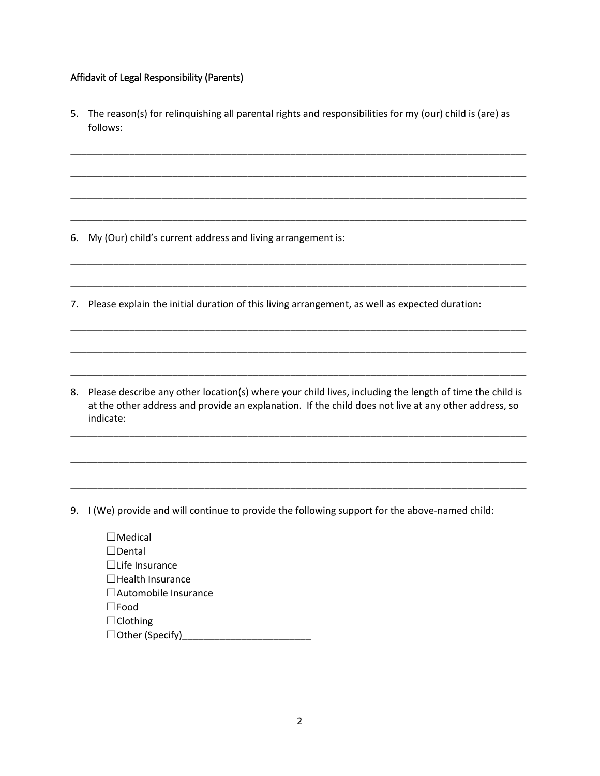### Affidavit of Legal Responsibility (Parents)

5. The reason(s) for relinquishing all parental rights and responsibilities for my (our) child is (are) as follows:

\_\_\_\_\_\_\_\_\_\_\_\_\_\_\_\_\_\_\_\_\_\_\_\_\_\_\_\_\_\_\_\_\_\_\_\_\_\_\_\_\_\_\_\_\_\_\_\_\_\_\_\_\_\_\_\_\_\_\_\_\_\_\_\_\_\_\_\_\_\_\_\_\_\_\_\_\_\_\_\_\_\_\_\_\_

\_\_\_\_\_\_\_\_\_\_\_\_\_\_\_\_\_\_\_\_\_\_\_\_\_\_\_\_\_\_\_\_\_\_\_\_\_\_\_\_\_\_\_\_\_\_\_\_\_\_\_\_\_\_\_\_\_\_\_\_\_\_\_\_\_\_\_\_\_\_\_\_\_\_\_\_\_\_\_\_\_\_\_\_\_

\_\_\_\_\_\_\_\_\_\_\_\_\_\_\_\_\_\_\_\_\_\_\_\_\_\_\_\_\_\_\_\_\_\_\_\_\_\_\_\_\_\_\_\_\_\_\_\_\_\_\_\_\_\_\_\_\_\_\_\_\_\_\_\_\_\_\_\_\_\_\_\_\_\_\_\_\_\_\_\_\_\_\_\_\_

\_\_\_\_\_\_\_\_\_\_\_\_\_\_\_\_\_\_\_\_\_\_\_\_\_\_\_\_\_\_\_\_\_\_\_\_\_\_\_\_\_\_\_\_\_\_\_\_\_\_\_\_\_\_\_\_\_\_\_\_\_\_\_\_\_\_\_\_\_\_\_\_\_\_\_\_\_\_\_\_\_\_\_\_\_

\_\_\_\_\_\_\_\_\_\_\_\_\_\_\_\_\_\_\_\_\_\_\_\_\_\_\_\_\_\_\_\_\_\_\_\_\_\_\_\_\_\_\_\_\_\_\_\_\_\_\_\_\_\_\_\_\_\_\_\_\_\_\_\_\_\_\_\_\_\_\_\_\_\_\_\_\_\_\_\_\_\_\_\_\_

\_\_\_\_\_\_\_\_\_\_\_\_\_\_\_\_\_\_\_\_\_\_\_\_\_\_\_\_\_\_\_\_\_\_\_\_\_\_\_\_\_\_\_\_\_\_\_\_\_\_\_\_\_\_\_\_\_\_\_\_\_\_\_\_\_\_\_\_\_\_\_\_\_\_\_\_\_\_\_\_\_\_\_\_\_

\_\_\_\_\_\_\_\_\_\_\_\_\_\_\_\_\_\_\_\_\_\_\_\_\_\_\_\_\_\_\_\_\_\_\_\_\_\_\_\_\_\_\_\_\_\_\_\_\_\_\_\_\_\_\_\_\_\_\_\_\_\_\_\_\_\_\_\_\_\_\_\_\_\_\_\_\_\_\_\_\_\_\_\_\_

\_\_\_\_\_\_\_\_\_\_\_\_\_\_\_\_\_\_\_\_\_\_\_\_\_\_\_\_\_\_\_\_\_\_\_\_\_\_\_\_\_\_\_\_\_\_\_\_\_\_\_\_\_\_\_\_\_\_\_\_\_\_\_\_\_\_\_\_\_\_\_\_\_\_\_\_\_\_\_\_\_\_\_\_\_

\_\_\_\_\_\_\_\_\_\_\_\_\_\_\_\_\_\_\_\_\_\_\_\_\_\_\_\_\_\_\_\_\_\_\_\_\_\_\_\_\_\_\_\_\_\_\_\_\_\_\_\_\_\_\_\_\_\_\_\_\_\_\_\_\_\_\_\_\_\_\_\_\_\_\_\_\_\_\_\_\_\_\_\_\_

6. My (Our) child's current address and living arrangement is:

7. Please explain the initial duration of this living arrangement, as well as expected duration:

8. Please describe any other location(s) where your child lives, including the length of time the child is at the other address and provide an explanation. If the child does not live at any other address, so indicate:

\_\_\_\_\_\_\_\_\_\_\_\_\_\_\_\_\_\_\_\_\_\_\_\_\_\_\_\_\_\_\_\_\_\_\_\_\_\_\_\_\_\_\_\_\_\_\_\_\_\_\_\_\_\_\_\_\_\_\_\_\_\_\_\_\_\_\_\_\_\_\_\_\_\_\_\_\_\_\_\_\_\_\_\_\_

\_\_\_\_\_\_\_\_\_\_\_\_\_\_\_\_\_\_\_\_\_\_\_\_\_\_\_\_\_\_\_\_\_\_\_\_\_\_\_\_\_\_\_\_\_\_\_\_\_\_\_\_\_\_\_\_\_\_\_\_\_\_\_\_\_\_\_\_\_\_\_\_\_\_\_\_\_\_\_\_\_\_\_\_\_

\_\_\_\_\_\_\_\_\_\_\_\_\_\_\_\_\_\_\_\_\_\_\_\_\_\_\_\_\_\_\_\_\_\_\_\_\_\_\_\_\_\_\_\_\_\_\_\_\_\_\_\_\_\_\_\_\_\_\_\_\_\_\_\_\_\_\_\_\_\_\_\_\_\_\_\_\_\_\_\_\_\_\_\_\_

9. I (We) provide and will continue to provide the following support for the above-named child:

| $\Box$ Medical              |
|-----------------------------|
| $\Box$ Dental               |
| $\Box$ Life Insurance       |
| $\Box$ Health Insurance     |
| $\Box$ Automobile Insurance |
| $\square$ Food              |
| $\Box$ Clothing             |
| $\Box$ Other (Specify)      |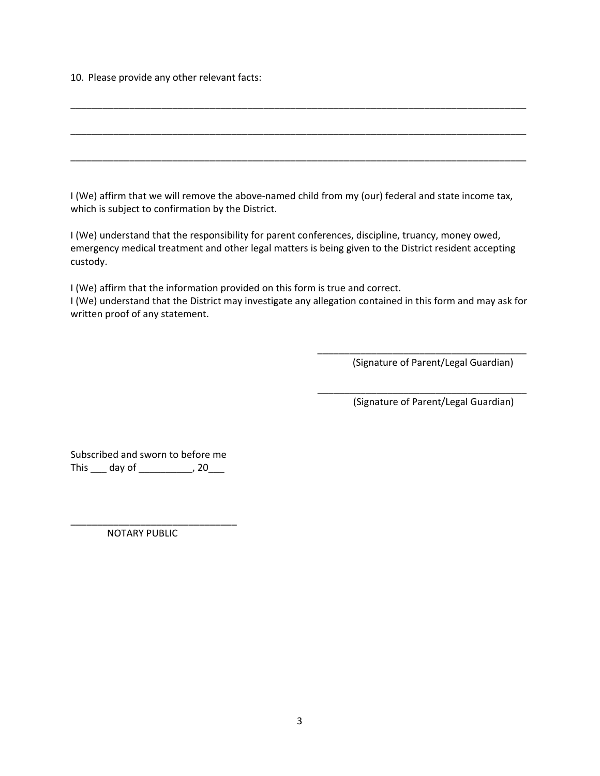10. Please provide any other relevant facts:

| _____________ |  | _____ |
|---------------|--|-------|
|               |  |       |
|               |  |       |

I (We) affirm that we will remove the above-named child from my (our) federal and state income tax, which is subject to confirmation by the District.

I (We) understand that the responsibility for parent conferences, discipline, truancy, money owed, emergency medical treatment and other legal matters is being given to the District resident accepting custody.

I (We) affirm that the information provided on this form is true and correct.

I (We) understand that the District may investigate any allegation contained in this form and may ask for written proof of any statement.

 $\overline{\phantom{a}}$  , and the contract of the contract of the contract of the contract of the contract of the contract of the contract of the contract of the contract of the contract of the contract of the contract of the contrac

\_\_\_\_\_\_\_\_\_\_\_\_\_\_\_\_\_\_\_\_\_\_\_\_\_\_\_\_\_\_\_\_\_\_\_\_\_\_\_

(Signature of Parent/Legal Guardian)

(Signature of Parent/Legal Guardian)

Subscribed and sworn to before me This \_\_\_\_ day of \_\_\_\_\_\_\_\_\_\_\_, 20\_\_\_

NOTARY PUBLIC

\_\_\_\_\_\_\_\_\_\_\_\_\_\_\_\_\_\_\_\_\_\_\_\_\_\_\_\_\_\_\_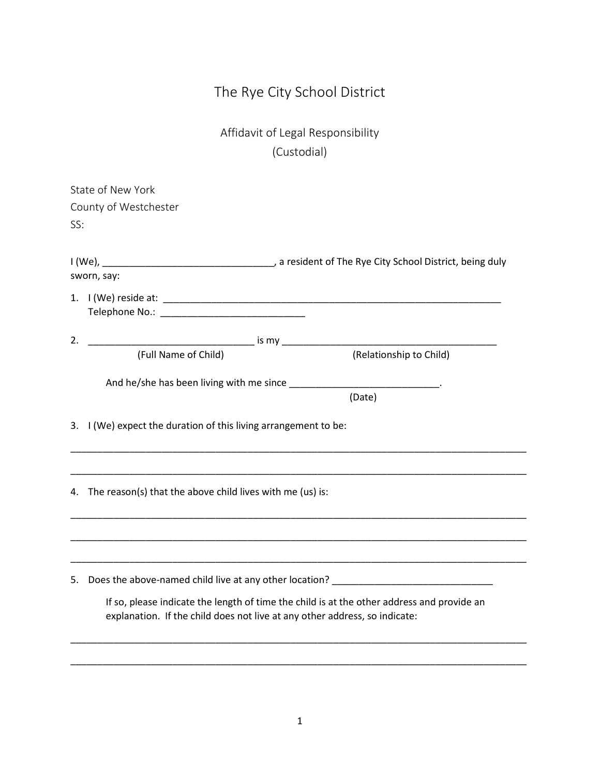## The Rye City School District

Affidavit of Legal Responsibility (Custodial)

|     | State of New York                                                          |                                                                                            |
|-----|----------------------------------------------------------------------------|--------------------------------------------------------------------------------------------|
|     | County of Westchester                                                      |                                                                                            |
| SS: |                                                                            |                                                                                            |
|     |                                                                            |                                                                                            |
|     |                                                                            |                                                                                            |
|     | sworn, say:                                                                |                                                                                            |
|     |                                                                            |                                                                                            |
|     |                                                                            |                                                                                            |
| 2.  |                                                                            |                                                                                            |
|     | (Full Name of Child)                                                       | (Relationship to Child)                                                                    |
|     |                                                                            |                                                                                            |
|     | And he/she has been living with me since ________________________________. |                                                                                            |
|     |                                                                            | (Date)                                                                                     |
|     | 3. I (We) expect the duration of this living arrangement to be:            |                                                                                            |
|     |                                                                            |                                                                                            |
|     |                                                                            |                                                                                            |
|     |                                                                            |                                                                                            |
|     | 4. The reason(s) that the above child lives with me (us) is:               |                                                                                            |
|     |                                                                            |                                                                                            |
|     |                                                                            |                                                                                            |
|     |                                                                            |                                                                                            |
|     |                                                                            |                                                                                            |
| 5.  |                                                                            | Does the above-named child live at any other location? __________________________          |
|     |                                                                            | If so, please indicate the length of time the child is at the other address and provide an |
|     | explanation. If the child does not live at any other address, so indicate: |                                                                                            |
|     |                                                                            |                                                                                            |
|     |                                                                            |                                                                                            |
|     |                                                                            |                                                                                            |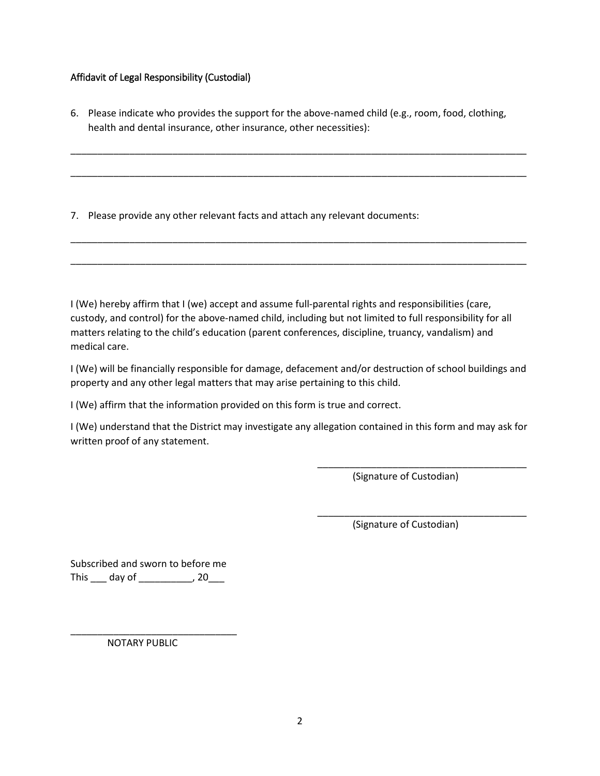## Affidavit of Legal Responsibility (Custodial)

6. Please indicate who provides the support for the above-named child (e.g., room, food, clothing, health and dental insurance, other insurance, other necessities):

\_\_\_\_\_\_\_\_\_\_\_\_\_\_\_\_\_\_\_\_\_\_\_\_\_\_\_\_\_\_\_\_\_\_\_\_\_\_\_\_\_\_\_\_\_\_\_\_\_\_\_\_\_\_\_\_\_\_\_\_\_\_\_\_\_\_\_\_\_\_\_\_\_\_\_\_\_\_\_\_\_\_\_\_\_

\_\_\_\_\_\_\_\_\_\_\_\_\_\_\_\_\_\_\_\_\_\_\_\_\_\_\_\_\_\_\_\_\_\_\_\_\_\_\_\_\_\_\_\_\_\_\_\_\_\_\_\_\_\_\_\_\_\_\_\_\_\_\_\_\_\_\_\_\_\_\_\_\_\_\_\_\_\_\_\_\_\_\_\_\_

\_\_\_\_\_\_\_\_\_\_\_\_\_\_\_\_\_\_\_\_\_\_\_\_\_\_\_\_\_\_\_\_\_\_\_\_\_\_\_\_\_\_\_\_\_\_\_\_\_\_\_\_\_\_\_\_\_\_\_\_\_\_\_\_\_\_\_\_\_\_\_\_\_\_\_\_\_\_\_\_\_\_\_\_\_

\_\_\_\_\_\_\_\_\_\_\_\_\_\_\_\_\_\_\_\_\_\_\_\_\_\_\_\_\_\_\_\_\_\_\_\_\_\_\_\_\_\_\_\_\_\_\_\_\_\_\_\_\_\_\_\_\_\_\_\_\_\_\_\_\_\_\_\_\_\_\_\_\_\_\_\_\_\_\_\_\_\_\_\_\_

7. Please provide any other relevant facts and attach any relevant documents:

I (We) hereby affirm that I (we) accept and assume full-parental rights and responsibilities (care, custody, and control) for the above-named child, including but not limited to full responsibility for all matters relating to the child's education (parent conferences, discipline, truancy, vandalism) and medical care.

I (We) will be financially responsible for damage, defacement and/or destruction of school buildings and property and any other legal matters that may arise pertaining to this child.

I (We) affirm that the information provided on this form is true and correct.

I (We) understand that the District may investigate any allegation contained in this form and may ask for written proof of any statement.

 $\overline{\phantom{a}}$  , and the contract of the contract of the contract of the contract of the contract of the contract of the contract of the contract of the contract of the contract of the contract of the contract of the contrac

 $\overline{\phantom{a}}$  , and the contract of the contract of the contract of the contract of the contract of the contract of the contract of the contract of the contract of the contract of the contract of the contract of the contrac

(Signature of Custodian)

(Signature of Custodian)

Subscribed and sworn to before me This \_\_\_\_ day of \_\_\_\_\_\_\_\_\_\_\_, 20\_\_\_

NOTARY PUBLIC

\_\_\_\_\_\_\_\_\_\_\_\_\_\_\_\_\_\_\_\_\_\_\_\_\_\_\_\_\_\_\_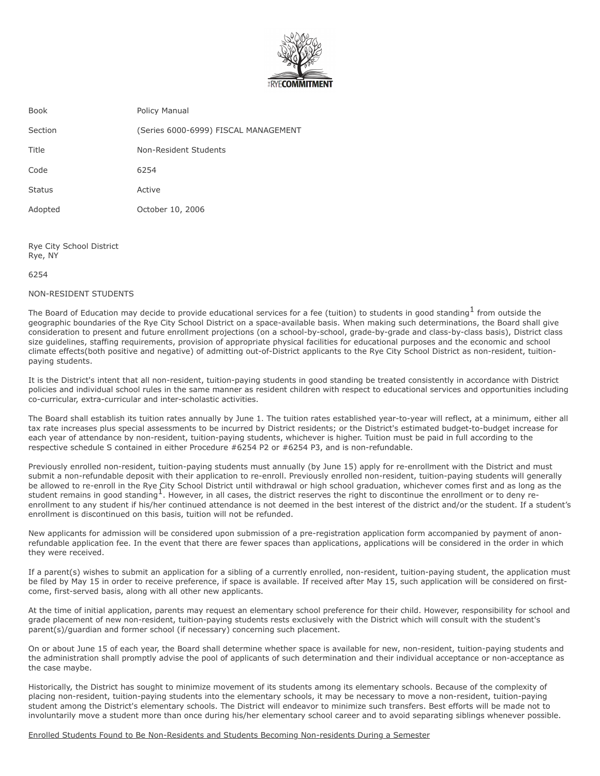

| Book          | Policy Manual                        |
|---------------|--------------------------------------|
| Section       | (Series 6000-6999) FISCAL MANAGEMENT |
| Title         | Non-Resident Students                |
| Code          | 6254                                 |
| <b>Status</b> | Active                               |
| Adopted       | October 10, 2006                     |
|               |                                      |

Rye City School District Rye, NY

6254

#### NON-RESIDENT STUDENTS

The Board of Education may decide to provide educational services for a fee (tuition) to students in good standing  $^1$  from outside the geographic boundaries of the Rye City School District on a space-available basis. When making such determinations, the Board shall give consid eration to present and future enrollment projections (on a school-by-school, grade-by-grade and class-by-class basis), District class size quidelines, staffing requirements, provision of appropriate physical facilities for educational purposes and the economic and school climate effects(both positive and negative) of admitting out-of-District applicants to the Rye City School District as non-resident, tuitionpaying students.

It is the District's intent that all non-resident, tuition-paying students in good standing be treated consistently in accordance with District policies and individual school rules in the same manner as resident children with respect to educational services and opportunities including co-curricular, extra-curricular and inter-scholastic activities.

The Board shall establish its tuition rates annually by June 1. The tuition rates established year-to-year will reflect, at a minimum, either all tax rate increases plus special assessments to be incurred by District residents; or the District's estimated budget-to- budget increase for each year of attendance by non-resident, tuition-paying students, whichever is higher. Tuition must be paid in full according to the respective schedule S contained in either Procedure #6254 P2 or #6254 P3, and is non-refundable.

Previously enrolled non-resident, tuition-paying students must annually (by June 15) apply for re-enrollment with the District and must submit a non-refundable deposit with their application to re-enroll. Previously enrolled non-resident, tuition- paying students will generally be allowed to re-enroll in the Rye City School District until with drawal or high school graduation, whichever comes first and as long as the student remains in good standing<sup>1</sup>. However, in all cases, the district reserves the right to discontinue the enrollment or to deny reenrollment to any student if his/her continued attendance is not deemed in the best interest of the district and/or the student. If a student's enrollment is discontinued on this basis, tuition will not be refunded.

New applicants for admission will be considered upon submission of a pre-registration application form accompanied by payment of anonrefundable application fee. In the event that there are fewer spaces than applications, applications will be considered in the order in which they were received.

If a parent(s) wishes to submit an application for a sibling of a currently enrolled, non-resident, tuition-paying student, the application must be filed by May 15 in order to receive preference, if space is available. If received after May 15, such application will be considered on firstcome, first-served basis, along with all other new applicants.

At the time of initial application, parents may request an elementary school preference for their child. However, responsibility for school and grade placement of new non-resident, tuition-paying students rests exclusively with the District which will consult with the student's parent(s)/guardian and former school (if necessary) concerning such placement.

On or about June 15 of each year, the Board shall determine whether space is available for new, non-resident, tuition-paying students and the administration shall promptly advise the pool of applicants of such determination and their individual acceptance or non-acceptance as the case maybe.

Historically, the District has sought to minimize movement of its students among its elementary schools. Because of the complexity of placing non-resident, tuition-paying students into the elementary schools, it may be necessary to move a non-resident, tuition-paying student among the District's elementary schools. The District will endeavor to minimize such transfers. Best efforts will be made not to involuntarily move a student more than once during his/her elementary school career and to avoid separating siblings whenever possible.

Enrolled Students Found to Be Non-Residents and Students Becoming Non-residents During a Semester